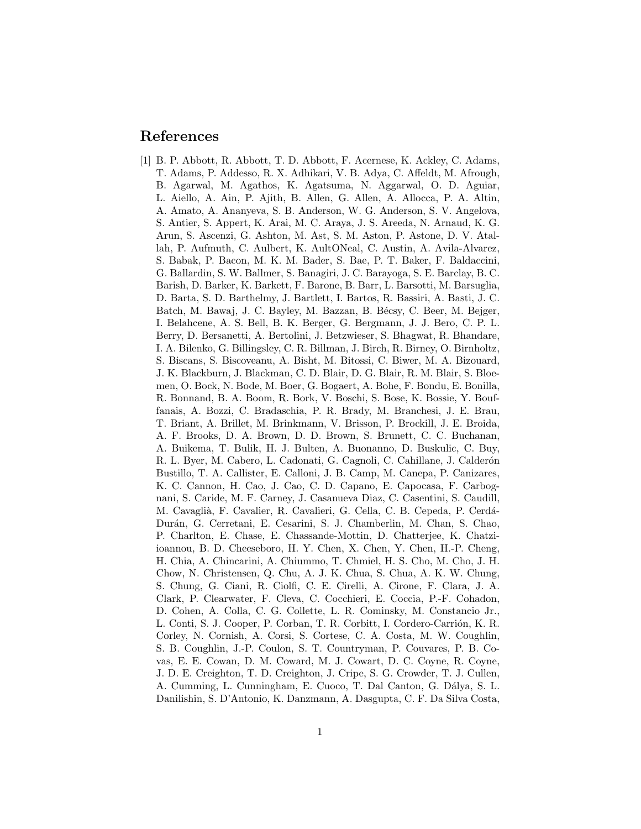## References

[1] B. P. Abbott, R. Abbott, T. D. Abbott, F. Acernese, K. Ackley, C. Adams, T. Adams, P. Addesso, R. X. Adhikari, V. B. Adya, C. Affeldt, M. Afrough, B. Agarwal, M. Agathos, K. Agatsuma, N. Aggarwal, O. D. Aguiar, L. Aiello, A. Ain, P. Ajith, B. Allen, G. Allen, A. Allocca, P. A. Altin, A. Amato, A. Ananyeva, S. B. Anderson, W. G. Anderson, S. V. Angelova, S. Antier, S. Appert, K. Arai, M. C. Araya, J. S. Areeda, N. Arnaud, K. G. Arun, S. Ascenzi, G. Ashton, M. Ast, S. M. Aston, P. Astone, D. V. Atallah, P. Aufmuth, C. Aulbert, K. AultONeal, C. Austin, A. Avila-Alvarez, S. Babak, P. Bacon, M. K. M. Bader, S. Bae, P. T. Baker, F. Baldaccini, G. Ballardin, S. W. Ballmer, S. Banagiri, J. C. Barayoga, S. E. Barclay, B. C. Barish, D. Barker, K. Barkett, F. Barone, B. Barr, L. Barsotti, M. Barsuglia, D. Barta, S. D. Barthelmy, J. Bartlett, I. Bartos, R. Bassiri, A. Basti, J. C. Batch, M. Bawaj, J. C. Bayley, M. Bazzan, B. Bécsy, C. Beer, M. Bejger, I. Belahcene, A. S. Bell, B. K. Berger, G. Bergmann, J. J. Bero, C. P. L. Berry, D. Bersanetti, A. Bertolini, J. Betzwieser, S. Bhagwat, R. Bhandare, I. A. Bilenko, G. Billingsley, C. R. Billman, J. Birch, R. Birney, O. Birnholtz, S. Biscans, S. Biscoveanu, A. Bisht, M. Bitossi, C. Biwer, M. A. Bizouard, J. K. Blackburn, J. Blackman, C. D. Blair, D. G. Blair, R. M. Blair, S. Bloemen, O. Bock, N. Bode, M. Boer, G. Bogaert, A. Bohe, F. Bondu, E. Bonilla, R. Bonnand, B. A. Boom, R. Bork, V. Boschi, S. Bose, K. Bossie, Y. Bouffanais, A. Bozzi, C. Bradaschia, P. R. Brady, M. Branchesi, J. E. Brau, T. Briant, A. Brillet, M. Brinkmann, V. Brisson, P. Brockill, J. E. Broida, A. F. Brooks, D. A. Brown, D. D. Brown, S. Brunett, C. C. Buchanan, A. Buikema, T. Bulik, H. J. Bulten, A. Buonanno, D. Buskulic, C. Buy, R. L. Byer, M. Cabero, L. Cadonati, G. Cagnoli, C. Cahillane, J. Calderón Bustillo, T. A. Callister, E. Calloni, J. B. Camp, M. Canepa, P. Canizares, K. C. Cannon, H. Cao, J. Cao, C. D. Capano, E. Capocasa, F. Carbognani, S. Caride, M. F. Carney, J. Casanueva Diaz, C. Casentini, S. Caudill, M. Cavaglià, F. Cavalier, R. Cavalieri, G. Cella, C. B. Cepeda, P. Cerdá-Durán, G. Cerretani, E. Cesarini, S. J. Chamberlin, M. Chan, S. Chao, P. Charlton, E. Chase, E. Chassande-Mottin, D. Chatterjee, K. Chatziioannou, B. D. Cheeseboro, H. Y. Chen, X. Chen, Y. Chen, H.-P. Cheng, H. Chia, A. Chincarini, A. Chiummo, T. Chmiel, H. S. Cho, M. Cho, J. H. Chow, N. Christensen, Q. Chu, A. J. K. Chua, S. Chua, A. K. W. Chung, S. Chung, G. Ciani, R. Ciolfi, C. E. Cirelli, A. Cirone, F. Clara, J. A. Clark, P. Clearwater, F. Cleva, C. Cocchieri, E. Coccia, P.-F. Cohadon, D. Cohen, A. Colla, C. G. Collette, L. R. Cominsky, M. Constancio Jr., L. Conti, S. J. Cooper, P. Corban, T. R. Corbitt, I. Cordero-Carrión, K. R. Corley, N. Cornish, A. Corsi, S. Cortese, C. A. Costa, M. W. Coughlin, S. B. Coughlin, J.-P. Coulon, S. T. Countryman, P. Couvares, P. B. Covas, E. E. Cowan, D. M. Coward, M. J. Cowart, D. C. Coyne, R. Coyne, J. D. E. Creighton, T. D. Creighton, J. Cripe, S. G. Crowder, T. J. Cullen, A. Cumming, L. Cunningham, E. Cuoco, T. Dal Canton, G. Dálya, S. L. Danilishin, S. D'Antonio, K. Danzmann, A. Dasgupta, C. F. Da Silva Costa,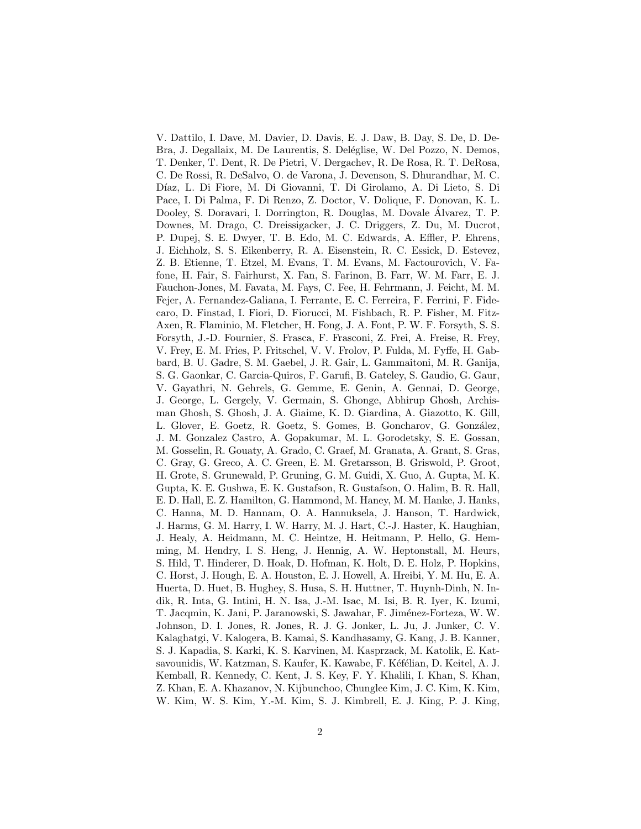V. Dattilo, I. Dave, M. Davier, D. Davis, E. J. Daw, B. Day, S. De, D. De-Bra, J. Degallaix, M. De Laurentis, S. Deléglise, W. Del Pozzo, N. Demos, T. Denker, T. Dent, R. De Pietri, V. Dergachev, R. De Rosa, R. T. DeRosa, C. De Rossi, R. DeSalvo, O. de Varona, J. Devenson, S. Dhurandhar, M. C. Díaz, L. Di Fiore, M. Di Giovanni, T. Di Girolamo, A. Di Lieto, S. Di Pace, I. Di Palma, F. Di Renzo, Z. Doctor, V. Dolique, F. Donovan, K. L. Dooley, S. Doravari, I. Dorrington, R. Douglas, M. Dovale Alvarez, T. P. ´ Downes, M. Drago, C. Dreissigacker, J. C. Driggers, Z. Du, M. Ducrot, P. Dupej, S. E. Dwyer, T. B. Edo, M. C. Edwards, A. Effler, P. Ehrens, J. Eichholz, S. S. Eikenberry, R. A. Eisenstein, R. C. Essick, D. Estevez, Z. B. Etienne, T. Etzel, M. Evans, T. M. Evans, M. Factourovich, V. Fafone, H. Fair, S. Fairhurst, X. Fan, S. Farinon, B. Farr, W. M. Farr, E. J. Fauchon-Jones, M. Favata, M. Fays, C. Fee, H. Fehrmann, J. Feicht, M. M. Fejer, A. Fernandez-Galiana, I. Ferrante, E. C. Ferreira, F. Ferrini, F. Fidecaro, D. Finstad, I. Fiori, D. Fiorucci, M. Fishbach, R. P. Fisher, M. Fitz-Axen, R. Flaminio, M. Fletcher, H. Fong, J. A. Font, P. W. F. Forsyth, S. S. Forsyth, J.-D. Fournier, S. Frasca, F. Frasconi, Z. Frei, A. Freise, R. Frey, V. Frey, E. M. Fries, P. Fritschel, V. V. Frolov, P. Fulda, M. Fyffe, H. Gabbard, B. U. Gadre, S. M. Gaebel, J. R. Gair, L. Gammaitoni, M. R. Ganija, S. G. Gaonkar, C. Garcia-Quiros, F. Garufi, B. Gateley, S. Gaudio, G. Gaur, V. Gayathri, N. Gehrels, G. Gemme, E. Genin, A. Gennai, D. George, J. George, L. Gergely, V. Germain, S. Ghonge, Abhirup Ghosh, Archisman Ghosh, S. Ghosh, J. A. Giaime, K. D. Giardina, A. Giazotto, K. Gill, L. Glover, E. Goetz, R. Goetz, S. Gomes, B. Goncharov, G. González, J. M. Gonzalez Castro, A. Gopakumar, M. L. Gorodetsky, S. E. Gossan, M. Gosselin, R. Gouaty, A. Grado, C. Graef, M. Granata, A. Grant, S. Gras, C. Gray, G. Greco, A. C. Green, E. M. Gretarsson, B. Griswold, P. Groot, H. Grote, S. Grunewald, P. Gruning, G. M. Guidi, X. Guo, A. Gupta, M. K. Gupta, K. E. Gushwa, E. K. Gustafson, R. Gustafson, O. Halim, B. R. Hall, E. D. Hall, E. Z. Hamilton, G. Hammond, M. Haney, M. M. Hanke, J. Hanks, C. Hanna, M. D. Hannam, O. A. Hannuksela, J. Hanson, T. Hardwick, J. Harms, G. M. Harry, I. W. Harry, M. J. Hart, C.-J. Haster, K. Haughian, J. Healy, A. Heidmann, M. C. Heintze, H. Heitmann, P. Hello, G. Hemming, M. Hendry, I. S. Heng, J. Hennig, A. W. Heptonstall, M. Heurs, S. Hild, T. Hinderer, D. Hoak, D. Hofman, K. Holt, D. E. Holz, P. Hopkins, C. Horst, J. Hough, E. A. Houston, E. J. Howell, A. Hreibi, Y. M. Hu, E. A. Huerta, D. Huet, B. Hughey, S. Husa, S. H. Huttner, T. Huynh-Dinh, N. Indik, R. Inta, G. Intini, H. N. Isa, J.-M. Isac, M. Isi, B. R. Iyer, K. Izumi, T. Jacqmin, K. Jani, P. Jaranowski, S. Jawahar, F. Jiménez-Forteza, W. W. Johnson, D. I. Jones, R. Jones, R. J. G. Jonker, L. Ju, J. Junker, C. V. Kalaghatgi, V. Kalogera, B. Kamai, S. Kandhasamy, G. Kang, J. B. Kanner, S. J. Kapadia, S. Karki, K. S. Karvinen, M. Kasprzack, M. Katolik, E. Katsavounidis, W. Katzman, S. Kaufer, K. Kawabe, F. Kéfélian, D. Keitel, A. J. Kemball, R. Kennedy, C. Kent, J. S. Key, F. Y. Khalili, I. Khan, S. Khan, Z. Khan, E. A. Khazanov, N. Kijbunchoo, Chunglee Kim, J. C. Kim, K. Kim, W. Kim, W. S. Kim, Y.-M. Kim, S. J. Kimbrell, E. J. King, P. J. King,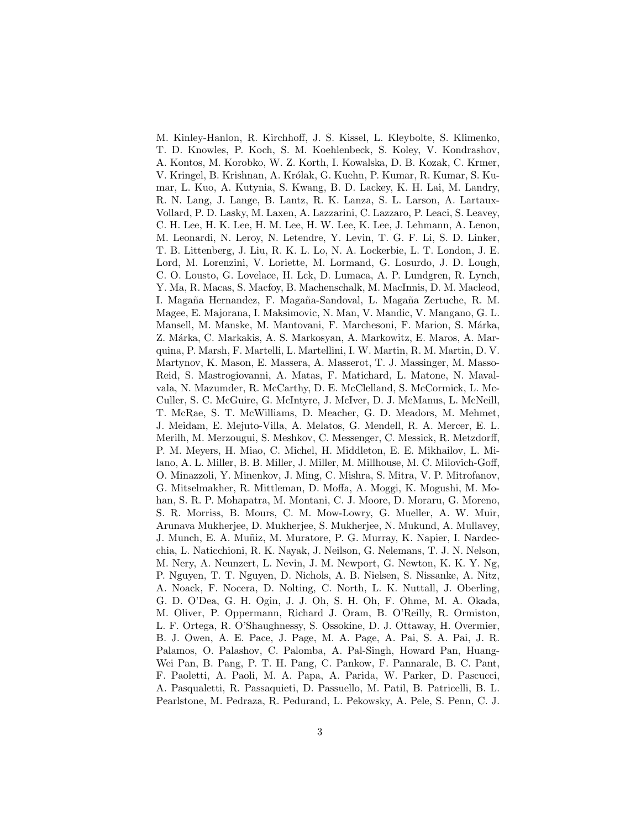M. Kinley-Hanlon, R. Kirchhoff, J. S. Kissel, L. Kleybolte, S. Klimenko, T. D. Knowles, P. Koch, S. M. Koehlenbeck, S. Koley, V. Kondrashov, A. Kontos, M. Korobko, W. Z. Korth, I. Kowalska, D. B. Kozak, C. Krmer, V. Kringel, B. Krishnan, A. Królak, G. Kuehn, P. Kumar, R. Kumar, S. Kumar, L. Kuo, A. Kutynia, S. Kwang, B. D. Lackey, K. H. Lai, M. Landry, R. N. Lang, J. Lange, B. Lantz, R. K. Lanza, S. L. Larson, A. Lartaux-Vollard, P. D. Lasky, M. Laxen, A. Lazzarini, C. Lazzaro, P. Leaci, S. Leavey, C. H. Lee, H. K. Lee, H. M. Lee, H. W. Lee, K. Lee, J. Lehmann, A. Lenon, M. Leonardi, N. Leroy, N. Letendre, Y. Levin, T. G. F. Li, S. D. Linker, T. B. Littenberg, J. Liu, R. K. L. Lo, N. A. Lockerbie, L. T. London, J. E. Lord, M. Lorenzini, V. Loriette, M. Lormand, G. Losurdo, J. D. Lough, C. O. Lousto, G. Lovelace, H. Lck, D. Lumaca, A. P. Lundgren, R. Lynch, Y. Ma, R. Macas, S. Macfoy, B. Machenschalk, M. MacInnis, D. M. Macleod, I. Magaña Hernandez, F. Magaña-Sandoval, L. Magaña Zertuche, R. M. Magee, E. Majorana, I. Maksimovic, N. Man, V. Mandic, V. Mangano, G. L. Mansell, M. Manske, M. Mantovani, F. Marchesoni, F. Marion, S. Márka, Z. Márka, C. Markakis, A. S. Markosyan, A. Markowitz, E. Maros, A. Marquina, P. Marsh, F. Martelli, L. Martellini, I. W. Martin, R. M. Martin, D. V. Martynov, K. Mason, E. Massera, A. Masserot, T. J. Massinger, M. Masso-Reid, S. Mastrogiovanni, A. Matas, F. Matichard, L. Matone, N. Mavalvala, N. Mazumder, R. McCarthy, D. E. McClelland, S. McCormick, L. Mc-Culler, S. C. McGuire, G. McIntyre, J. McIver, D. J. McManus, L. McNeill, T. McRae, S. T. McWilliams, D. Meacher, G. D. Meadors, M. Mehmet, J. Meidam, E. Mejuto-Villa, A. Melatos, G. Mendell, R. A. Mercer, E. L. Merilh, M. Merzougui, S. Meshkov, C. Messenger, C. Messick, R. Metzdorff, P. M. Meyers, H. Miao, C. Michel, H. Middleton, E. E. Mikhailov, L. Milano, A. L. Miller, B. B. Miller, J. Miller, M. Millhouse, M. C. Milovich-Goff, O. Minazzoli, Y. Minenkov, J. Ming, C. Mishra, S. Mitra, V. P. Mitrofanov, G. Mitselmakher, R. Mittleman, D. Moffa, A. Moggi, K. Mogushi, M. Mohan, S. R. P. Mohapatra, M. Montani, C. J. Moore, D. Moraru, G. Moreno, S. R. Morriss, B. Mours, C. M. Mow-Lowry, G. Mueller, A. W. Muir, Arunava Mukherjee, D. Mukherjee, S. Mukherjee, N. Mukund, A. Mullavey, J. Munch, E. A. Muñiz, M. Muratore, P. G. Murray, K. Napier, I. Nardecchia, L. Naticchioni, R. K. Nayak, J. Neilson, G. Nelemans, T. J. N. Nelson, M. Nery, A. Neunzert, L. Nevin, J. M. Newport, G. Newton, K. K. Y. Ng, P. Nguyen, T. T. Nguyen, D. Nichols, A. B. Nielsen, S. Nissanke, A. Nitz, A. Noack, F. Nocera, D. Nolting, C. North, L. K. Nuttall, J. Oberling, G. D. O'Dea, G. H. Ogin, J. J. Oh, S. H. Oh, F. Ohme, M. A. Okada, M. Oliver, P. Oppermann, Richard J. Oram, B. O'Reilly, R. Ormiston, L. F. Ortega, R. O'Shaughnessy, S. Ossokine, D. J. Ottaway, H. Overmier, B. J. Owen, A. E. Pace, J. Page, M. A. Page, A. Pai, S. A. Pai, J. R. Palamos, O. Palashov, C. Palomba, A. Pal-Singh, Howard Pan, Huang-Wei Pan, B. Pang, P. T. H. Pang, C. Pankow, F. Pannarale, B. C. Pant, F. Paoletti, A. Paoli, M. A. Papa, A. Parida, W. Parker, D. Pascucci, A. Pasqualetti, R. Passaquieti, D. Passuello, M. Patil, B. Patricelli, B. L. Pearlstone, M. Pedraza, R. Pedurand, L. Pekowsky, A. Pele, S. Penn, C. J.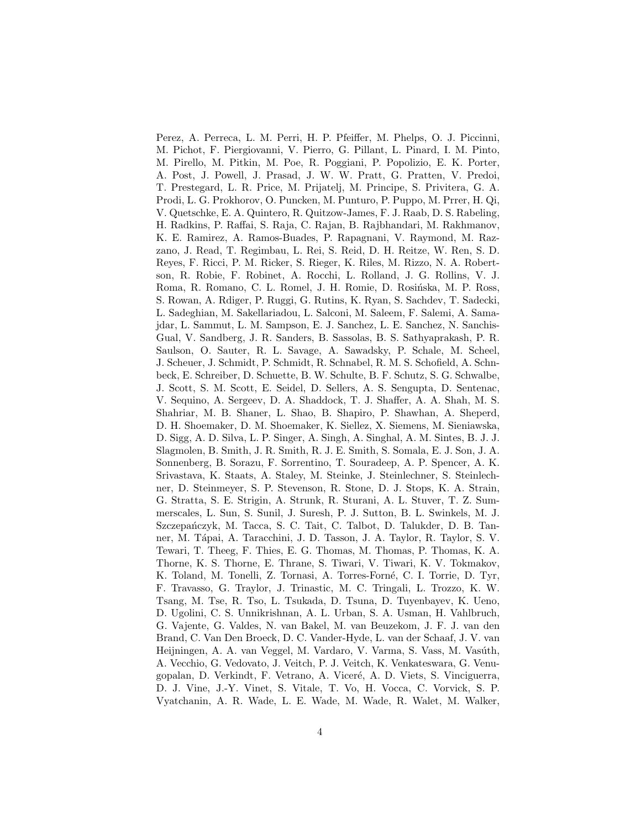Perez, A. Perreca, L. M. Perri, H. P. Pfeiffer, M. Phelps, O. J. Piccinni, M. Pichot, F. Piergiovanni, V. Pierro, G. Pillant, L. Pinard, I. M. Pinto, M. Pirello, M. Pitkin, M. Poe, R. Poggiani, P. Popolizio, E. K. Porter, A. Post, J. Powell, J. Prasad, J. W. W. Pratt, G. Pratten, V. Predoi, T. Prestegard, L. R. Price, M. Prijatelj, M. Principe, S. Privitera, G. A. Prodi, L. G. Prokhorov, O. Puncken, M. Punturo, P. Puppo, M. Prrer, H. Qi, V. Quetschke, E. A. Quintero, R. Quitzow-James, F. J. Raab, D. S. Rabeling, H. Radkins, P. Raffai, S. Raja, C. Rajan, B. Rajbhandari, M. Rakhmanov, K. E. Ramirez, A. Ramos-Buades, P. Rapagnani, V. Raymond, M. Razzano, J. Read, T. Regimbau, L. Rei, S. Reid, D. H. Reitze, W. Ren, S. D. Reyes, F. Ricci, P. M. Ricker, S. Rieger, K. Riles, M. Rizzo, N. A. Robertson, R. Robie, F. Robinet, A. Rocchi, L. Rolland, J. G. Rollins, V. J. Roma, R. Romano, C. L. Romel, J. H. Romie, D. Rosińska, M. P. Ross, S. Rowan, A. Rdiger, P. Ruggi, G. Rutins, K. Ryan, S. Sachdev, T. Sadecki, L. Sadeghian, M. Sakellariadou, L. Salconi, M. Saleem, F. Salemi, A. Samajdar, L. Sammut, L. M. Sampson, E. J. Sanchez, L. E. Sanchez, N. Sanchis-Gual, V. Sandberg, J. R. Sanders, B. Sassolas, B. S. Sathyaprakash, P. R. Saulson, O. Sauter, R. L. Savage, A. Sawadsky, P. Schale, M. Scheel, J. Scheuer, J. Schmidt, P. Schmidt, R. Schnabel, R. M. S. Schofield, A. Schnbeck, E. Schreiber, D. Schuette, B. W. Schulte, B. F. Schutz, S. G. Schwalbe, J. Scott, S. M. Scott, E. Seidel, D. Sellers, A. S. Sengupta, D. Sentenac, V. Sequino, A. Sergeev, D. A. Shaddock, T. J. Shaffer, A. A. Shah, M. S. Shahriar, M. B. Shaner, L. Shao, B. Shapiro, P. Shawhan, A. Sheperd, D. H. Shoemaker, D. M. Shoemaker, K. Siellez, X. Siemens, M. Sieniawska, D. Sigg, A. D. Silva, L. P. Singer, A. Singh, A. Singhal, A. M. Sintes, B. J. J. Slagmolen, B. Smith, J. R. Smith, R. J. E. Smith, S. Somala, E. J. Son, J. A. Sonnenberg, B. Sorazu, F. Sorrentino, T. Souradeep, A. P. Spencer, A. K. Srivastava, K. Staats, A. Staley, M. Steinke, J. Steinlechner, S. Steinlechner, D. Steinmeyer, S. P. Stevenson, R. Stone, D. J. Stops, K. A. Strain, G. Stratta, S. E. Strigin, A. Strunk, R. Sturani, A. L. Stuver, T. Z. Summerscales, L. Sun, S. Sunil, J. Suresh, P. J. Sutton, B. L. Swinkels, M. J. Szczepańczyk, M. Tacca, S. C. Tait, C. Talbot, D. Talukder, D. B. Tanner, M. Tápai, A. Taracchini, J. D. Tasson, J. A. Taylor, R. Taylor, S. V. Tewari, T. Theeg, F. Thies, E. G. Thomas, M. Thomas, P. Thomas, K. A. Thorne, K. S. Thorne, E. Thrane, S. Tiwari, V. Tiwari, K. V. Tokmakov, K. Toland, M. Tonelli, Z. Tornasi, A. Torres-Forné, C. I. Torrie, D. Tyr, F. Travasso, G. Traylor, J. Trinastic, M. C. Tringali, L. Trozzo, K. W. Tsang, M. Tse, R. Tso, L. Tsukada, D. Tsuna, D. Tuyenbayev, K. Ueno, D. Ugolini, C. S. Unnikrishnan, A. L. Urban, S. A. Usman, H. Vahlbruch, G. Vajente, G. Valdes, N. van Bakel, M. van Beuzekom, J. F. J. van den Brand, C. Van Den Broeck, D. C. Vander-Hyde, L. van der Schaaf, J. V. van Heijningen, A. A. van Veggel, M. Vardaro, V. Varma, S. Vass, M. Vasúth, A. Vecchio, G. Vedovato, J. Veitch, P. J. Veitch, K. Venkateswara, G. Venugopalan, D. Verkindt, F. Vetrano, A. Vicer´e, A. D. Viets, S. Vinciguerra, D. J. Vine, J.-Y. Vinet, S. Vitale, T. Vo, H. Vocca, C. Vorvick, S. P. Vyatchanin, A. R. Wade, L. E. Wade, M. Wade, R. Walet, M. Walker,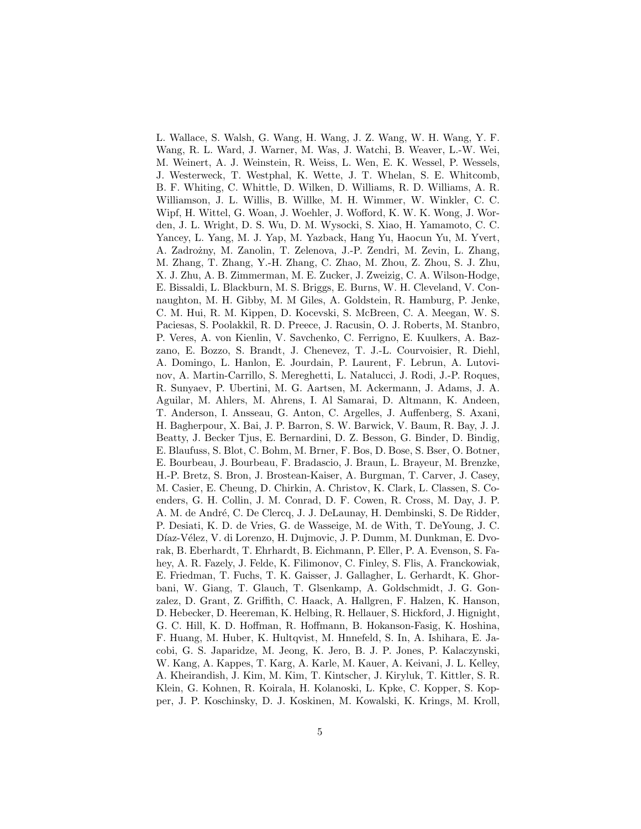L. Wallace, S. Walsh, G. Wang, H. Wang, J. Z. Wang, W. H. Wang, Y. F. Wang, R. L. Ward, J. Warner, M. Was, J. Watchi, B. Weaver, L.-W. Wei, M. Weinert, A. J. Weinstein, R. Weiss, L. Wen, E. K. Wessel, P. Wessels, J. Westerweck, T. Westphal, K. Wette, J. T. Whelan, S. E. Whitcomb, B. F. Whiting, C. Whittle, D. Wilken, D. Williams, R. D. Williams, A. R. Williamson, J. L. Willis, B. Willke, M. H. Wimmer, W. Winkler, C. C. Wipf, H. Wittel, G. Woan, J. Woehler, J. Wofford, K. W. K. Wong, J. Worden, J. L. Wright, D. S. Wu, D. M. Wysocki, S. Xiao, H. Yamamoto, C. C. Yancey, L. Yang, M. J. Yap, M. Yazback, Hang Yu, Haocun Yu, M. Yvert, A. Zadro˙zny, M. Zanolin, T. Zelenova, J.-P. Zendri, M. Zevin, L. Zhang, M. Zhang, T. Zhang, Y.-H. Zhang, C. Zhao, M. Zhou, Z. Zhou, S. J. Zhu, X. J. Zhu, A. B. Zimmerman, M. E. Zucker, J. Zweizig, C. A. Wilson-Hodge, E. Bissaldi, L. Blackburn, M. S. Briggs, E. Burns, W. H. Cleveland, V. Connaughton, M. H. Gibby, M. M Giles, A. Goldstein, R. Hamburg, P. Jenke, C. M. Hui, R. M. Kippen, D. Kocevski, S. McBreen, C. A. Meegan, W. S. Paciesas, S. Poolakkil, R. D. Preece, J. Racusin, O. J. Roberts, M. Stanbro, P. Veres, A. von Kienlin, V. Savchenko, C. Ferrigno, E. Kuulkers, A. Bazzano, E. Bozzo, S. Brandt, J. Chenevez, T. J.-L. Courvoisier, R. Diehl, A. Domingo, L. Hanlon, E. Jourdain, P. Laurent, F. Lebrun, A. Lutovinov, A. Martin-Carrillo, S. Mereghetti, L. Natalucci, J. Rodi, J.-P. Roques, R. Sunyaev, P. Ubertini, M. G. Aartsen, M. Ackermann, J. Adams, J. A. Aguilar, M. Ahlers, M. Ahrens, I. Al Samarai, D. Altmann, K. Andeen, T. Anderson, I. Ansseau, G. Anton, C. Argelles, J. Auffenberg, S. Axani, H. Bagherpour, X. Bai, J. P. Barron, S. W. Barwick, V. Baum, R. Bay, J. J. Beatty, J. Becker Tjus, E. Bernardini, D. Z. Besson, G. Binder, D. Bindig, E. Blaufuss, S. Blot, C. Bohm, M. Brner, F. Bos, D. Bose, S. Bser, O. Botner, E. Bourbeau, J. Bourbeau, F. Bradascio, J. Braun, L. Brayeur, M. Brenzke, H.-P. Bretz, S. Bron, J. Brostean-Kaiser, A. Burgman, T. Carver, J. Casey, M. Casier, E. Cheung, D. Chirkin, A. Christov, K. Clark, L. Classen, S. Coenders, G. H. Collin, J. M. Conrad, D. F. Cowen, R. Cross, M. Day, J. P. A. M. de André, C. De Clercq, J. J. DeLaunay, H. Dembinski, S. De Ridder, P. Desiati, K. D. de Vries, G. de Wasseige, M. de With, T. DeYoung, J. C. Díaz-Vélez, V. di Lorenzo, H. Dujmovic, J. P. Dumm, M. Dunkman, E. Dvorak, B. Eberhardt, T. Ehrhardt, B. Eichmann, P. Eller, P. A. Evenson, S. Fahey, A. R. Fazely, J. Felde, K. Filimonov, C. Finley, S. Flis, A. Franckowiak, E. Friedman, T. Fuchs, T. K. Gaisser, J. Gallagher, L. Gerhardt, K. Ghorbani, W. Giang, T. Glauch, T. Glsenkamp, A. Goldschmidt, J. G. Gonzalez, D. Grant, Z. Griffith, C. Haack, A. Hallgren, F. Halzen, K. Hanson, D. Hebecker, D. Heereman, K. Helbing, R. Hellauer, S. Hickford, J. Hignight, G. C. Hill, K. D. Hoffman, R. Hoffmann, B. Hokanson-Fasig, K. Hoshina, F. Huang, M. Huber, K. Hultqvist, M. Hnnefeld, S. In, A. Ishihara, E. Jacobi, G. S. Japaridze, M. Jeong, K. Jero, B. J. P. Jones, P. Kalaczynski, W. Kang, A. Kappes, T. Karg, A. Karle, M. Kauer, A. Keivani, J. L. Kelley, A. Kheirandish, J. Kim, M. Kim, T. Kintscher, J. Kiryluk, T. Kittler, S. R. Klein, G. Kohnen, R. Koirala, H. Kolanoski, L. Kpke, C. Kopper, S. Kopper, J. P. Koschinsky, D. J. Koskinen, M. Kowalski, K. Krings, M. Kroll,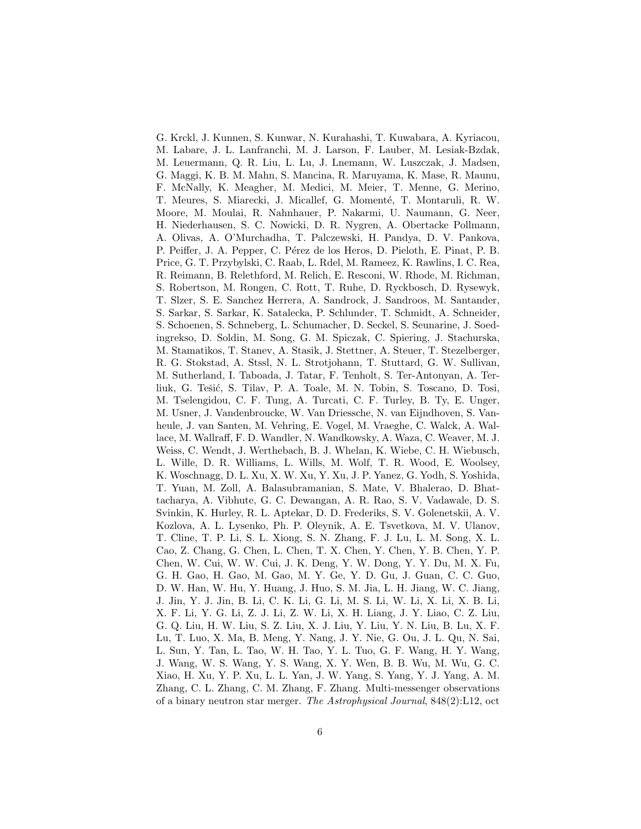G. Krckl, J. Kunnen, S. Kunwar, N. Kurahashi, T. Kuwabara, A. Kyriacou, M. Labare, J. L. Lanfranchi, M. J. Larson, F. Lauber, M. Lesiak-Bzdak, M. Leuermann, Q. R. Liu, L. Lu, J. Lnemann, W. Luszczak, J. Madsen, G. Maggi, K. B. M. Mahn, S. Mancina, R. Maruyama, K. Mase, R. Maunu, F. McNally, K. Meagher, M. Medici, M. Meier, T. Menne, G. Merino, T. Meures, S. Miarecki, J. Micallef, G. Momenté, T. Montaruli, R. W. Moore, M. Moulai, R. Nahnhauer, P. Nakarmi, U. Naumann, G. Neer, H. Niederhausen, S. C. Nowicki, D. R. Nygren, A. Obertacke Pollmann, A. Olivas, A. O'Murchadha, T. Palczewski, H. Pandya, D. V. Pankova, P. Peiffer, J. A. Pepper, C. Pérez de los Heros, D. Pieloth, E. Pinat, P. B. Price, G. T. Przybylski, C. Raab, L. Rdel, M. Rameez, K. Rawlins, I. C. Rea, R. Reimann, B. Relethford, M. Relich, E. Resconi, W. Rhode, M. Richman, S. Robertson, M. Rongen, C. Rott, T. Ruhe, D. Ryckbosch, D. Rysewyk, T. Slzer, S. E. Sanchez Herrera, A. Sandrock, J. Sandroos, M. Santander, S. Sarkar, S. Sarkar, K. Satalecka, P. Schlunder, T. Schmidt, A. Schneider, S. Schoenen, S. Schneberg, L. Schumacher, D. Seckel, S. Seunarine, J. Soedingrekso, D. Soldin, M. Song, G. M. Spiczak, C. Spiering, J. Stachurska, M. Stamatikos, T. Stanev, A. Stasik, J. Stettner, A. Steuer, T. Stezelberger, R. G. Stokstad, A. Stssl, N. L. Strotjohann, T. Stuttard, G. W. Sullivan, M. Sutherland, I. Taboada, J. Tatar, F. Tenholt, S. Ter-Antonyan, A. Terliuk, G. Tešić, S. Tilav, P. A. Toale, M. N. Tobin, S. Toscano, D. Tosi, M. Tselengidou, C. F. Tung, A. Turcati, C. F. Turley, B. Ty, E. Unger, M. Usner, J. Vandenbroucke, W. Van Driessche, N. van Eijndhoven, S. Vanheule, J. van Santen, M. Vehring, E. Vogel, M. Vraeghe, C. Walck, A. Wallace, M. Wallraff, F. D. Wandler, N. Wandkowsky, A. Waza, C. Weaver, M. J. Weiss, C. Wendt, J. Werthebach, B. J. Whelan, K. Wiebe, C. H. Wiebusch, L. Wille, D. R. Williams, L. Wills, M. Wolf, T. R. Wood, E. Woolsey, K. Woschnagg, D. L. Xu, X. W. Xu, Y. Xu, J. P. Yanez, G. Yodh, S. Yoshida, T. Yuan, M. Zoll, A. Balasubramanian, S. Mate, V. Bhalerao, D. Bhattacharya, A. Vibhute, G. C. Dewangan, A. R. Rao, S. V. Vadawale, D. S. Svinkin, K. Hurley, R. L. Aptekar, D. D. Frederiks, S. V. Golenetskii, A. V. Kozlova, A. L. Lysenko, Ph. P. Oleynik, A. E. Tsvetkova, M. V. Ulanov, T. Cline, T. P. Li, S. L. Xiong, S. N. Zhang, F. J. Lu, L. M. Song, X. L. Cao, Z. Chang, G. Chen, L. Chen, T. X. Chen, Y. Chen, Y. B. Chen, Y. P. Chen, W. Cui, W. W. Cui, J. K. Deng, Y. W. Dong, Y. Y. Du, M. X. Fu, G. H. Gao, H. Gao, M. Gao, M. Y. Ge, Y. D. Gu, J. Guan, C. C. Guo, D. W. Han, W. Hu, Y. Huang, J. Huo, S. M. Jia, L. H. Jiang, W. C. Jiang, J. Jin, Y. J. Jin, B. Li, C. K. Li, G. Li, M. S. Li, W. Li, X. Li, X. B. Li, X. F. Li, Y. G. Li, Z. J. Li, Z. W. Li, X. H. Liang, J. Y. Liao, C. Z. Liu, G. Q. Liu, H. W. Liu, S. Z. Liu, X. J. Liu, Y. Liu, Y. N. Liu, B. Lu, X. F. Lu, T. Luo, X. Ma, B. Meng, Y. Nang, J. Y. Nie, G. Ou, J. L. Qu, N. Sai, L. Sun, Y. Tan, L. Tao, W. H. Tao, Y. L. Tuo, G. F. Wang, H. Y. Wang, J. Wang, W. S. Wang, Y. S. Wang, X. Y. Wen, B. B. Wu, M. Wu, G. C. Xiao, H. Xu, Y. P. Xu, L. L. Yan, J. W. Yang, S. Yang, Y. J. Yang, A. M. Zhang, C. L. Zhang, C. M. Zhang, F. Zhang. Multi-messenger observations of a binary neutron star merger. The Astrophysical Journal, 848(2):L12, oct